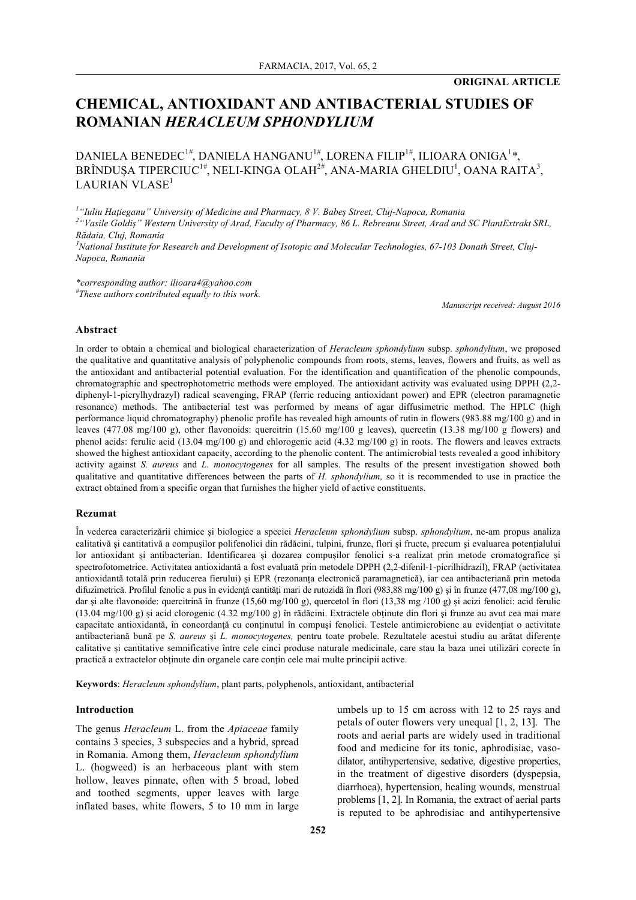# **CHEMICAL, ANTIOXIDANT AND ANTIBACTERIAL STUDIES OF ROMANIAN** *HERACLEUM SPHONDYLIUM*

DANIELA BENEDEC<sup>1</sup>*#* , DANIELA HANGANU<sup>1</sup>*#* , LORENA FILIP<sup>1</sup>*#* , ILIOARA ONIGA<sup>1</sup> *\**, BRÎNDUȘA TIPERCIUC<sup>1#</sup>, NELI-KINGA OLAH<sup>2#</sup>, ANA-MARIA GHELDIU<sup>1</sup>, OANA RAITA<sup>3</sup>, LAURIAN VLASE<sup>1</sup>

*1 "Iuliu Hațieganu" University of Medicine and Pharmacy, 8 V. Babeș Street, Cluj-Napoca, Romania 2 "Vasile Goldiș" Western University of Arad, Faculty of Pharmacy, 86 L. Rebreanu Street, Arad and SC PlantExtrakt SRL, Rădaia, Cluj, Romania*

*3 National Institute for Research and Development of Isotopic and Molecular Technologies, 67-103 Donath Street, Cluj-Napoca, Romania*

*\*corresponding author: ilioara4@yahoo.com # These authors contributed equally to this work.*

*Manuscript received: August 2016*

#### **Abstract**

In order to obtain a chemical and biological characterization of *Heracleum sphondylium* subsp. *sphondylium*, we proposed the qualitative and quantitative analysis of polyphenolic compounds from roots, stems, leaves, flowers and fruits, as well as the antioxidant and antibacterial potential evaluation. For the identification and quantification of the phenolic compounds, chromatographic and spectrophotometric methods were employed. The antioxidant activity was evaluated using DPPH (2,2 diphenyl-1-picrylhydrazyl) radical scavenging, FRAP (ferric reducing antioxidant power) and EPR (electron paramagnetic resonance) methods. The antibacterial test was performed by means of agar diffusimetric method. The HPLC (high performance liquid chromatography) phenolic profile has revealed high amounts of rutin in flowers (983.88 mg/100 g) and in leaves (477.08 mg/100 g), other flavonoids: quercitrin (15.60 mg/100 g leaves), quercetin (13.38 mg/100 g flowers) and phenol acids: ferulic acid (13.04 mg/100 g) and chlorogenic acid (4.32 mg/100 g) in roots. The flowers and leaves extracts showed the highest antioxidant capacity, according to the phenolic content. The antimicrobial tests revealed a good inhibitory activity against *S. aureus* and *L. monocytogenes* for all samples. The results of the present investigation showed both qualitative and quantitative differences between the parts of *H. sphondylium,* so it is recommended to use in practice the extract obtained from a specific organ that furnishes the higher yield of active constituents.

### **Rezumat**

În vederea caracterizării chimice și biologice a speciei *Heracleum sphondylium* subsp. *sphondylium*, ne-am propus analiza calitativă și cantitativă a compușilor polifenolici din rădăcini, tulpini, frunze, flori și fructe, precum și evaluarea potențialului lor antioxidant și antibacterian. Identificarea și dozarea compușilor fenolici s-a realizat prin metode cromatografice și spectrofotometrice. Activitatea antioxidantă a fost evaluată prin metodele DPPH (2,2-difenil-1-picrilhidrazil), FRAP (activitatea antioxidantă totală prin reducerea fierului) și EPR (rezonanța electronică paramagnetică), iar cea antibacteriană prin metoda difuzimetrică. Profilul fenolic a pus în evidență cantități mari de rutozidă în flori (983,88 mg/100 g) și în frunze (477,08 mg/100 g), dar și alte flavonoide: quercitrină în frunze (15,60 mg/100 g), quercetol în flori (13,38 mg/100 g) și acizi fenolici: acid ferulic (13.04 mg/100 g) și acid clorogenic (4.32 mg/100 g) în rădăcini. Extractele obţinute din flori şi frunze au avut cea mai mare capacitate antioxidantă, în concordanță cu conținutul în compuși fenolici. Testele antimicrobiene au evidențiat o activitate antibacteriană bună pe *S. aureus* și *L. monocytogenes,* pentru toate probele. Rezultatele acestui studiu au arătat diferențe calitative și cantitative semnificative între cele cinci produse naturale medicinale, care stau la baza unei utilizări corecte în practică a extractelor obținute din organele care conțin cele mai multe principii active.

**Keywords**: *Heracleum sphondylium*, plant parts, polyphenols, antioxidant, antibacterial

### **Introduction**

The genus *Heracleum* L. from the *Apiaceae* family contains 3 species, 3 subspecies and a hybrid, spread in Romania. Among them, *Heracleum sphondylium* L. (hogweed) is an herbaceous plant with stem hollow, leaves pinnate, often with 5 broad, lobed and toothed segments, upper leaves with large inflated bases, white flowers, 5 to 10 mm in large umbels up to 15 cm across with 12 to 25 rays and petals of outer flowers very unequal [1, 2, 13]. The roots and aerial parts are widely used in traditional food and medicine for its tonic, aphrodisiac, vasodilator, antihypertensive, sedative, digestive properties, in the treatment of digestive disorders (dyspepsia, diarrhoea), hypertension, healing wounds, menstrual problems [1, 2]. In Romania, the extract of aerial parts is reputed to be aphrodisiac and antihypertensive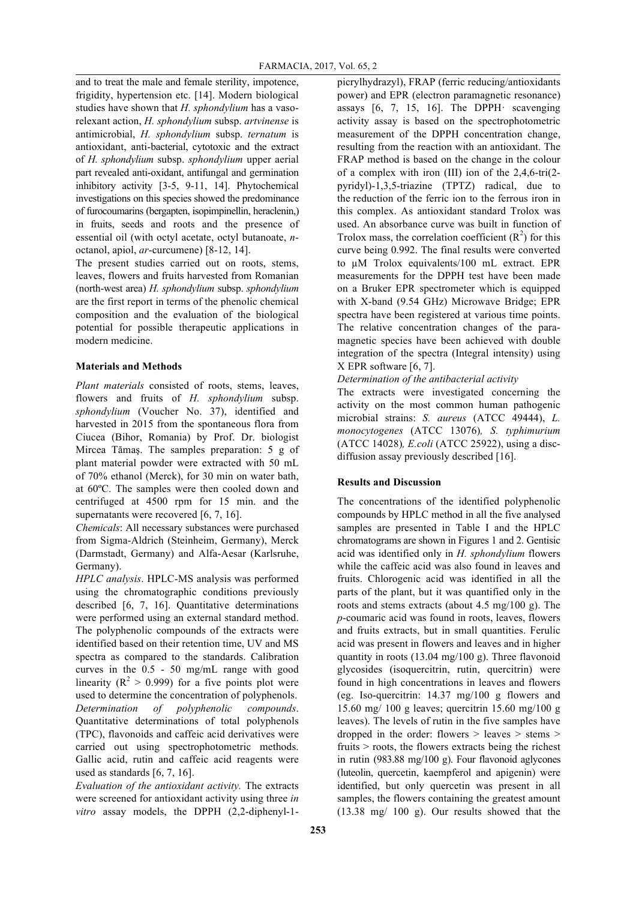and to treat the male and female sterility, impotence, frigidity, hypertension etc. [14]. Modern biological studies have shown that *H. sphondylium* has a vasorelexant action, *H. sphondylium* subsp. *artvinense* is antimicrobial, *H. sphondylium* subsp. *ternatum* is antioxidant, anti-bacterial, cytotoxic and the extract of *H. sphondylium* subsp. *sphondylium* upper aerial part revealed anti-oxidant, antifungal and germination inhibitory activity [3-5, 9-11, 14]. Phytochemical investigations on this species showed the predominance of furocoumarins (bergapten, isopimpinellin, heraclenin,) in fruits, seeds and roots and the presence of essential oil (with octyl acetate, octyl butanoate, *n*octanol, apiol, *ar*-curcumene) [8-12, 14].

The present studies carried out on roots, stems, leaves, flowers and fruits harvested from Romanian (north-west area) *H. sphondylium* subsp. *sphondylium* are the first report in terms of the phenolic chemical composition and the evaluation of the biological potential for possible therapeutic applications in modern medicine.

# **Materials and Methods**

*Plant materials* consisted of roots, stems, leaves, flowers and fruits of *H. sphondylium* subsp. *sphondylium* (Voucher No. 37), identified and harvested in 2015 from the spontaneous flora from Ciucea (Bihor, Romania) by Prof. Dr. biologist Mircea Tămaş. The samples preparation: 5 g of plant material powder were extracted with 50 mL of 70% ethanol (Merck), for 30 min on water bath, at 60ºC. The samples were then cooled down and centrifuged at 4500 rpm for 15 min. and the supernatants were recovered [6, 7, 16].

*Chemicals*: All necessary substances were purchased from Sigma-Aldrich (Steinheim, Germany), Merck (Darmstadt, Germany) and Alfa-Aesar (Karlsruhe, Germany).

*HPLC analysis*. HPLC-MS analysis was performed using the chromatographic conditions previously described [6, 7, 16]. Quantitative determinations were performed using an external standard method. The polyphenolic compounds of the extracts were identified based on their retention time, UV and MS spectra as compared to the standards. Calibration curves in the 0.5 - 50 mg/mL range with good linearity ( $R^2 > 0.999$ ) for a five points plot were used to determine the concentration of polyphenols. *Determination of polyphenolic compounds*. Quantitative determinations of total polyphenols (TPC), flavonoids and caffeic acid derivatives were carried out using spectrophotometric methods. Gallic acid, rutin and caffeic acid reagents were used as standards [6, 7, 16].

*Evaluation of the antioxidant activity.* The extracts were screened for antioxidant activity using three *in vitro* assay models, the DPPH (2,2-diphenyl-1picrylhydrazyl), FRAP (ferric reducing/antioxidants power) and EPR (electron paramagnetic resonance) assays  $[6, 7, 15, 16]$ . The DPPH $\cdot$  scavenging activity assay is based on the spectrophotometric measurement of the DPPH concentration change, resulting from the reaction with an antioxidant. The FRAP method is based on the change in the colour of a complex with iron (III) ion of the 2,4,6-tri(2 pyridyl)-1,3,5-triazine (TPTZ) radical, due to the reduction of the ferric ion to the ferrous iron in this complex. As antioxidant standard Trolox was used. An absorbance curve was built in function of Trolox mass, the correlation coefficient  $(R<sup>2</sup>)$  for this curve being 0.992. The final results were converted to µM Trolox equivalents/100 mL extract. EPR measurements for the DPPH test have been made on a Bruker EPR spectrometer which is equipped with X-band (9.54 GHz) Microwave Bridge; EPR spectra have been registered at various time points. The relative concentration changes of the paramagnetic species have been achieved with double integration of the spectra (Integral intensity) using X EPR software [6, 7].

*Determination of the antibacterial activity*

The extracts were investigated concerning the activity on the most common human pathogenic microbial strains: *S. aureus* (ATCC 49444), *L. monocytogenes* (ATCC 13076)*, S. typhimurium* (ATCC 14028)*, E.coli* (ATCC 25922), using a discdiffusion assay previously described [16].

# **Results and Discussion**

The concentrations of the identified polyphenolic compounds by HPLC method in all the five analysed samples are presented in Table I and the HPLC chromatograms are shown in Figures 1 and 2. Gentisic acid was identified only in *H. sphondylium* flowers while the caffeic acid was also found in leaves and fruits. Chlorogenic acid was identified in all the parts of the plant, but it was quantified only in the roots and stems extracts (about 4.5 mg/100 g). The *p*-coumaric acid was found in roots, leaves, flowers and fruits extracts, but in small quantities. Ferulic acid was present in flowers and leaves and in higher quantity in roots (13.04 mg/100 g). Three flavonoid glycosides (isoquercitrin, rutin, quercitrin) were found in high concentrations in leaves and flowers (eg. Iso-quercitrin: 14.37 mg/100 g flowers and 15.60 mg/ 100 g leaves; quercitrin 15.60 mg/100 g leaves). The levels of rutin in the five samples have dropped in the order: flowers  $>$  leaves  $>$  stems  $>$ fruits > roots, the flowers extracts being the richest in rutin (983.88 mg/100 g). Four flavonoid aglycones (luteolin, quercetin, kaempferol and apigenin) were identified, but only quercetin was present in all samples, the flowers containing the greatest amount (13.38 mg/ 100 g). Our results showed that the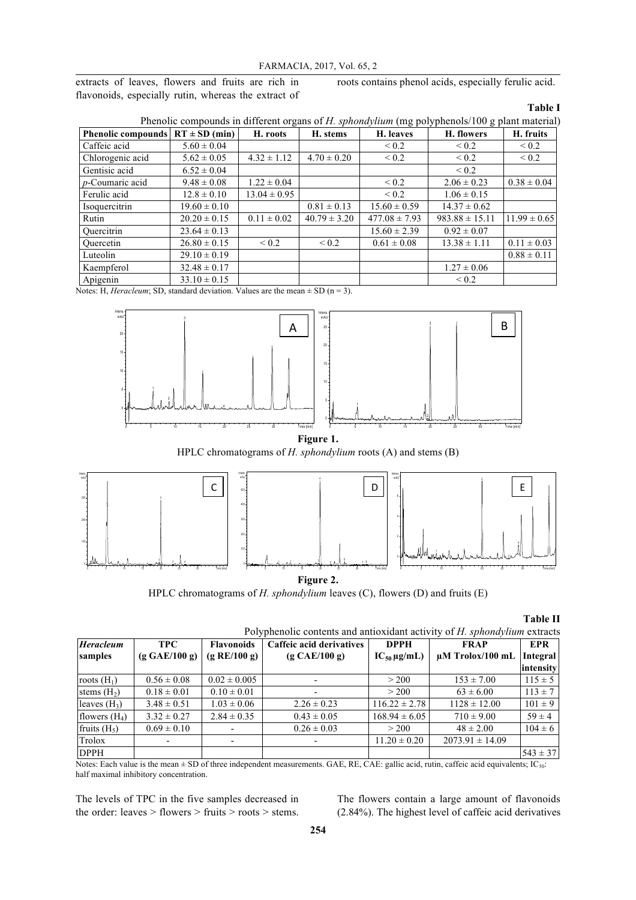extracts of leaves, flowers and fruits are rich in flavonoids, especially rutin, whereas the extract of roots contains phenol acids, especially ferulic acid.

#### **Table I**

| Phenolic compounds in different organs of H. sphondylium (mg polyphenols/100 g plant material) |  |  |  |
|------------------------------------------------------------------------------------------------|--|--|--|
|                                                                                                |  |  |  |

| Phenolic compounds $RT \pm SD$ (min) |                  | H. roots         | H. stems         | H. leaves         | H. flowers         | H. fruits        |
|--------------------------------------|------------------|------------------|------------------|-------------------|--------------------|------------------|
| Caffeic acid                         | $5.60 \pm 0.04$  |                  |                  | ${}_{0.2}$        | ${}_{0.2}$         | ${}_{0.2}$       |
| Chlorogenic acid                     | $5.62 \pm 0.05$  | $4.32 \pm 1.12$  | $4.70 \pm 0.20$  | < 0.2             | ${}_{0.2}$         | ${}_{0.2}$       |
| Gentisic acid                        | $6.52 \pm 0.04$  |                  |                  |                   | ${}_{0.2}$         |                  |
| $p$ -Coumaric acid                   | $9.48 \pm 0.08$  | $1.22 \pm 0.04$  |                  | ${}_{0.2}$        | $2.06 \pm 0.23$    | $0.38 \pm 0.04$  |
| Ferulic acid                         | $12.8 \pm 0.10$  | $13.04 \pm 0.95$ |                  | ${}_{0.2}$        | $1.06 \pm 0.15$    |                  |
| Isoquercitrin                        | $19.60 \pm 0.10$ |                  | $0.81 \pm 0.13$  | $15.60 \pm 0.59$  | $14.37 \pm 0.62$   |                  |
| Rutin                                | $20.20 \pm 0.15$ | $0.11 \pm 0.02$  | $40.79 \pm 3.20$ | $477.08 \pm 7.93$ | $983.88 \pm 15.11$ | $11.99 \pm 0.65$ |
| Quercitrin                           | $23.64 \pm 0.13$ |                  |                  | $15.60 \pm 2.39$  | $0.92 \pm 0.07$    |                  |
| Ouercetin                            | $26.80 \pm 0.15$ | ${}_{0.2}$       | ${}_{0.2}$       | $0.61 \pm 0.08$   | $13.38 \pm 1.11$   | $0.11 \pm 0.03$  |
| Luteolin                             | $29.10 \pm 0.19$ |                  |                  |                   |                    | $0.88 \pm 0.11$  |
| Kaempferol                           | $32.48 \pm 0.17$ |                  |                  |                   | $1.27 \pm 0.06$    |                  |
| Apigenin                             | $33.10 \pm 0.15$ |                  |                  |                   | ${}_{0.2}$         |                  |

Notes: H, *Heracleum*; SD, standard deviation. Values are the mean  $\pm$  SD (n = 3).



# **Figure 1.**

HPLC chromatograms of *H. sphondylium* roots (A) and stems (B)



HPLC chromatograms of *H. sphondylium* leaves (C), flowers (D) and fruits (E)

**Table II**

Polyphenolic contents and antioxidant activity of *H. sphondylium* extracts

| <b>Heracleum</b> | <b>TPC</b>      | <b>Flavonoids</b>        | Caffeic acid derivatives | <b>DPPH</b>        | <b>FRAP</b>           | <b>EPR</b>            |
|------------------|-----------------|--------------------------|--------------------------|--------------------|-----------------------|-----------------------|
| samples          | (g GAE/100 g)   | (g RE/100 g)             | (g CAE/100 g)            | $IC_{50} \mu g/mL$ | $\mu$ M Trolox/100 mL | Integral<br>intensity |
| roots $(H_1)$    | $0.56 \pm 0.08$ | $0.02 \pm 0.005$         |                          | > 200              | $153 \pm 7.00$        | $115 \pm 5$           |
| stems $(H2)$     | $0.18 \pm 0.01$ | $0.10 \pm 0.01$          |                          | > 200              | $63 \pm 6.00$         | $113 \pm 7$           |
| leaves $(H_3)$   | $3.48 \pm 0.51$ | $1.03 \pm 0.06$          | $2.26 \pm 0.23$          | $116.22 \pm 2.78$  | $1128 \pm 12.00$      | $101 \pm 9$           |
| flowers $(H_4)$  | $3.32 \pm 0.27$ | $2.84 \pm 0.35$          | $0.43 \pm 0.05$          | $168.94 \pm 6.05$  | $710 \pm 9.00$        | $59 \pm 4$            |
| fruits $(H_5)$   | $0.69 \pm 0.10$ | $\overline{\phantom{a}}$ | $0.26 \pm 0.03$          | > 200              | $48 \pm 2.00$         | $104 \pm 6$           |
| Trolox           |                 |                          |                          | $11.20 \pm 0.20$   | $2073.91 \pm 14.09$   |                       |
| <b>DPPH</b>      |                 |                          |                          |                    |                       | $543 \pm 37$          |

Notes: Each value is the mean ± SD of three independent measurements. GAE, RE, CAE: gallic acid, rutin, caffeic acid equivalents; IC<sub>50</sub>: half maximal inhibitory concentration.

The levels of TPC in the five samples decreased in the order: leaves > flowers > fruits > roots > stems.

The flowers contain a large amount of flavonoids (2.84%). The highest level of caffeic acid derivatives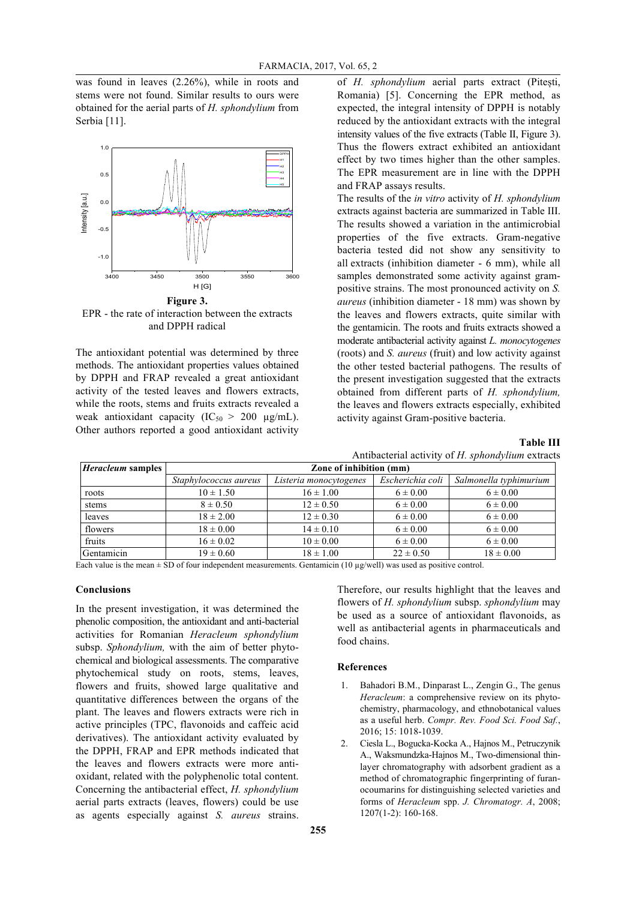was found in leaves (2.26%), while in roots and stems were not found. Similar results to ours were obtained for the aerial parts of *H. sphondylium* from Serbia<sup>[11]</sup>.



EPR - the rate of interaction between the extracts and DPPH radical

The antioxidant potential was determined by three methods. The antioxidant properties values obtained by DPPH and FRAP revealed a great antioxidant activity of the tested leaves and flowers extracts, while the roots, stems and fruits extracts revealed a weak antioxidant capacity  $(IC_{50} > 200 \text{ kg/mL})$ . Other authors reported a good antioxidant activity

of *H. sphondylium* aerial parts extract (Pitești, Romania) [5]. Concerning the EPR method, as expected, the integral intensity of DPPH is notably reduced by the antioxidant extracts with the integral intensity values of the five extracts (Table II, Figure 3). Thus the flowers extract exhibited an antioxidant effect by two times higher than the other samples. The EPR measurement are in line with the DPPH and FRAP assays results.

The results of the *in vitro* activity of *H. sphondylium* extracts against bacteria are summarized in Table III. The results showed a variation in the antimicrobial properties of the five extracts. Gram-negative bacteria tested did not show any sensitivity to all extracts (inhibition diameter - 6 mm), while all samples demonstrated some activity against grampositive strains. The most pronounced activity on *S. aureus* (inhibition diameter - 18 mm) was shown by the leaves and flowers extracts, quite similar with the gentamicin. The roots and fruits extracts showed a moderate antibacterial activity against *L. monocytogenes* (roots) and *S. aureus* (fruit) and low activity against the other tested bacterial pathogens. The results of the present investigation suggested that the extracts obtained from different parts of *H. sphondylium,*  the leaves and flowers extracts especially, exhibited activity against Gram-positive bacteria.

**Table III**

| Antibacterial activity of H. sphondylium extracts |  |  |
|---------------------------------------------------|--|--|
|                                                   |  |  |

| <i>Heracleum</i> samples | Zone of inhibition (mm) |                        |                  |                        |  |  |
|--------------------------|-------------------------|------------------------|------------------|------------------------|--|--|
|                          | Staphylococcus aureus   | Listeria monocytogenes | Escherichia coli | Salmonella typhimurium |  |  |
| roots                    | $10 \pm 1.50$           | $16 \pm 1.00$          | $6 \pm 0.00$     | $6 \pm 0.00$           |  |  |
| stems                    | $8 \pm 0.50$            | $12 \pm 0.50$          | $6 \pm 0.00$     | $6 \pm 0.00$           |  |  |
| leaves                   | $18 \pm 2.00$           | $12 \pm 0.30$          | $6 \pm 0.00$     | $6 \pm 0.00$           |  |  |
| flowers                  | $18 \pm 0.00$           | $14 \pm 0.10$          | $6 \pm 0.00$     | $6 \pm 0.00$           |  |  |
| fruits                   | $16 \pm 0.02$           | $10 \pm 0.00$          | $6 \pm 0.00$     | $6 \pm 0.00$           |  |  |
| Gentamicin               | $19 \pm 0.60$           | $18 \pm 1.00$          | $22 \pm 0.50$    | $18 \pm 0.00$          |  |  |

Each value is the mean  $\pm$  SD of four independent measurements. Gentamicin (10  $\mu$ g/well) was used as positive control.

### **Conclusions**

In the present investigation, it was determined the phenolic composition, the antioxidant and anti-bacterial activities for Romanian *Heracleum sphondylium* subsp. *Sphondylium,* with the aim of better phytochemical and biological assessments. The comparative phytochemical study on roots, stems, leaves, flowers and fruits, showed large qualitative and quantitative differences between the organs of the plant. The leaves and flowers extracts were rich in active principles (TPC, flavonoids and caffeic acid derivatives). The antioxidant activity evaluated by the DPPH, FRAP and EPR methods indicated that the leaves and flowers extracts were more antioxidant, related with the polyphenolic total content. Concerning the antibacterial effect, *H. sphondylium* aerial parts extracts (leaves, flowers) could be use as agents especially against *S. aureus* strains.

Therefore, our results highlight that the leaves and flowers of *H. sphondylium* subsp. *sphondylium* may be used as a source of antioxidant flavonoids, as well as antibacterial agents in pharmaceuticals and food chains.

#### **References**

- 1. Bahadori B.M., Dinparast L., Zengin G., The genus *Heracleum*: a comprehensive review on its phytochemistry, pharmacology, and ethnobotanical values as a useful herb. *Compr. Rev. Food Sci. Food Saf.*, 2016; 15: 1018-1039.
- 2. Ciesla L., Bogucka-Kocka A., Hajnos M., Petruczynik A., Waksmundzka-Hajnos M., Two-dimensional thinlayer chromatography with adsorbent gradient as a method of chromatographic fingerprinting of furanocoumarins for distinguishing selected varieties and forms of *Heracleum* spp. *J. Chromatogr. A*, 2008; 1207(1-2): 160-168.